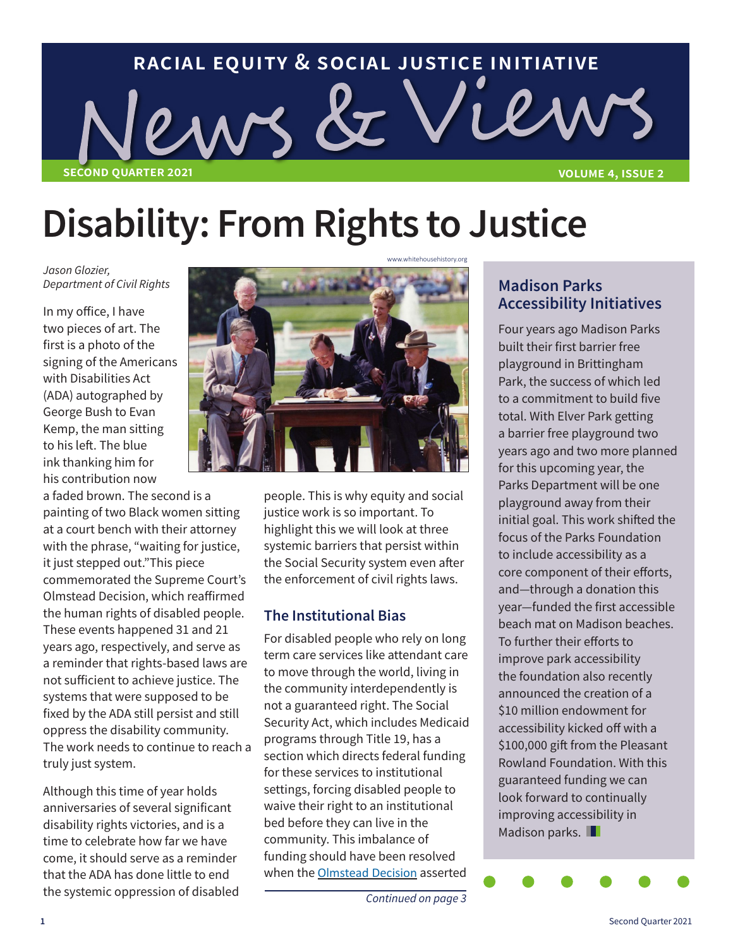# **racial equity & social justice initiative**  $\kappa$  ( **second quarter 2021 volume 4, issue 2**

# **Disability: From Rights to Justice**

*Jason Glozier,* 

In my office, I have two pieces of art. The first is a photo of the signing of the Americans with Disabilities Act (ADA) autographed by George Bush to Evan Kemp, the man sitting to his left. The blue ink thanking him for his contribution now

a faded brown. The second is a painting of two Black women sitting at a court bench with their attorney with the phrase, "waiting for justice, it just stepped out."This piece commemorated the Supreme Court's Olmstead Decision, which reaffirmed the human rights of disabled people. These events happened 31 and 21 years ago, respectively, and serve as a reminder that rights-based laws are not sufficient to achieve justice. The systems that were supposed to be fixed by the ADA still persist and still oppress the disability community. The work needs to continue to reach a truly just system.

Although this time of year holds anniversaries of several significant disability rights victories, and is a time to celebrate how far we have come, it should serve as a reminder that the ADA has done little to end the systemic oppression of disabled



people. This is why equity and social justice work is so important. To highlight this we will look at three systemic barriers that persist within the Social Security system even after the enforcement of civil rights laws.

#### **The Institutional Bias**

For disabled people who rely on long term care services like attendant care to move through the world, living in the community interdependently is not a guaranteed right. The Social Security Act, which includes Medicaid programs through Title 19, has a section which directs federal funding for these services to institutional settings, forcing disabled people to waive their right to an institutional bed before they can live in the community. This imbalance of funding should have been resolved when the Olmstead Decision asserted

### **Accessibility Initiatives**

Four years ago Madison Parks built their first barrier free playground in Brittingham Park, the success of which led to a commitment to build five total. With Elver Park getting a barrier free playground two years ago and two more planned for this upcoming year, the Parks Department will be one playground away from their initial goal. This work shifted the focus of the Parks Foundation to include accessibility as a core component of their efforts, and—through a donation this year—funded the first accessible beach mat on Madison beaches. To further their efforts to improve park accessibility the foundation also recently announced the creation of a \$10 million endowment for accessibility kicked off with a \$100,000 gift from the Pleasant Rowland Foundation. With this guaranteed funding we can look forward to continually improving accessibility in Madison parks.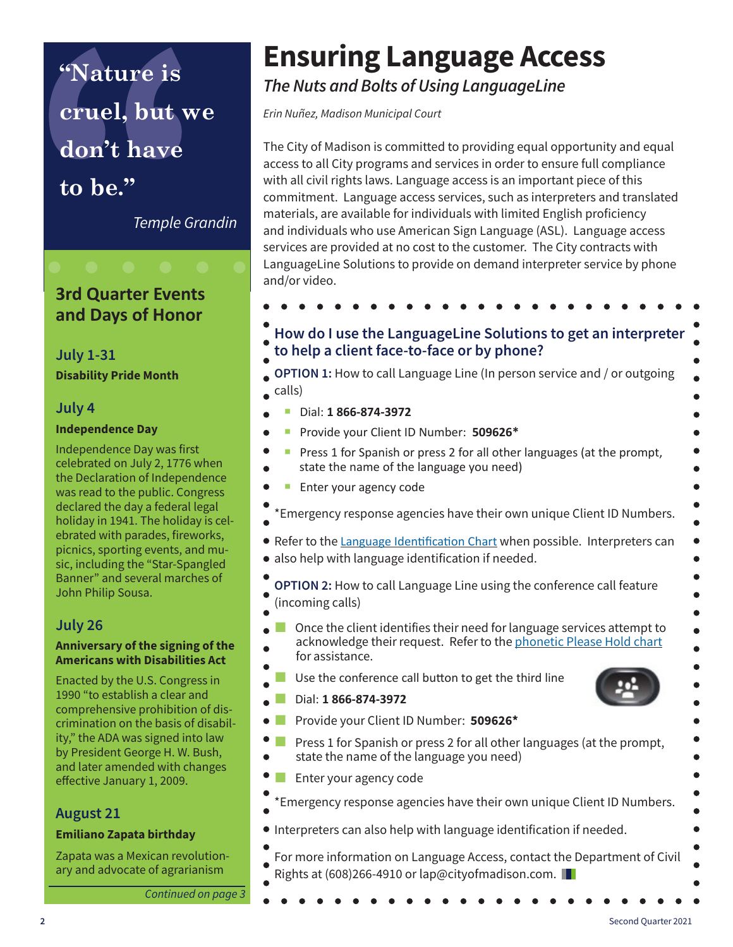**"Nature is cruel, but we don't have**

**to be."**

*Temple Grandin*

#### **3rd Quarter Events and Days of Honor**

#### **July 1-31 Disability Pride Month**

#### **July 4**

#### **Independence Day**

Independence Day was first celebrated on July 2, 1776 when the Declaration of Independence was read to the public. Congress declared the day a federal legal holiday in 1941. The holiday is celebrated with parades, fireworks, picnics, sporting events, and music, including the "Star-Spangled Banner" and several marches of John Philip Sousa.

#### **July 26**

#### **Anniversary of the signing of the Americans with Disabilities Act**

Enacted by the U.S. Congress in 1990 "to establish a clear and comprehensive prohibition of discrimination on the basis of disability," the ADA was signed into law by President George H. W. Bush, and later amended with changes effective January 1, 2009.

#### **August 21**

#### **Emiliano Zapata birthday**

Zapata was a Mexican revolutionary and advocate of agrarianism

**Continued on page** 

### **Ensuring Language Access**

*The Nuts and Bolts of Using LanguageLine*

*Erin Nuñez, Madison Municipal Court*

The City of Madison is committed to providing equal opportunity and equal access to all City programs and services in order to ensure full compliance with all civil rights laws. Language access is an important piece of this commitment. Language access services, such as interpreters and translated materials, are available for individuals with limited English proficiency and individuals who use American Sign Language (ASL). Language access services are provided at no cost to the customer. The City contracts with LanguageLine Solutions to provide on demand interpreter service by phone and/or video.

|        | to help a client face-to-face or by phone?<br><b>OPTION 1:</b> How to call Language Line (In person service and / or outgoing                                   |
|--------|-----------------------------------------------------------------------------------------------------------------------------------------------------------------|
| calls) |                                                                                                                                                                 |
|        | Dial: 1 866-874-3972                                                                                                                                            |
|        | Provide your Client ID Number: 509626*                                                                                                                          |
|        | Press 1 for Spanish or press 2 for all other languages (at the prompt,<br>state the name of the language you need)                                              |
|        | Enter your agency code                                                                                                                                          |
|        | 'Emergency response agencies have their own unique Client ID Numbers.                                                                                           |
|        | • Refer to the Language Identification Chart when possible. Interpreters can<br>• also help with language identification if needed.                             |
|        | OPTION 2: How to call Language Line using the conference call feature<br>(incoming calls)                                                                       |
|        | Once the client identifies their need for language services attempt to<br>acknowledge their request. Refer to the phonetic Please Hold chart<br>for assistance. |
|        | Use the conference call button to get the third line                                                                                                            |
|        |                                                                                                                                                                 |
|        | Dial: 1 866-874-3972                                                                                                                                            |
|        | Provide your Client ID Number: 509626*                                                                                                                          |
|        | Press 1 for Spanish or press 2 for all other languages (at the prompt,<br>state the name of the language you need)                                              |
|        | Enter your agency code                                                                                                                                          |
|        | *Emergency response agencies have their own unique Client ID Numbers.                                                                                           |

**2** Second Quarter 2021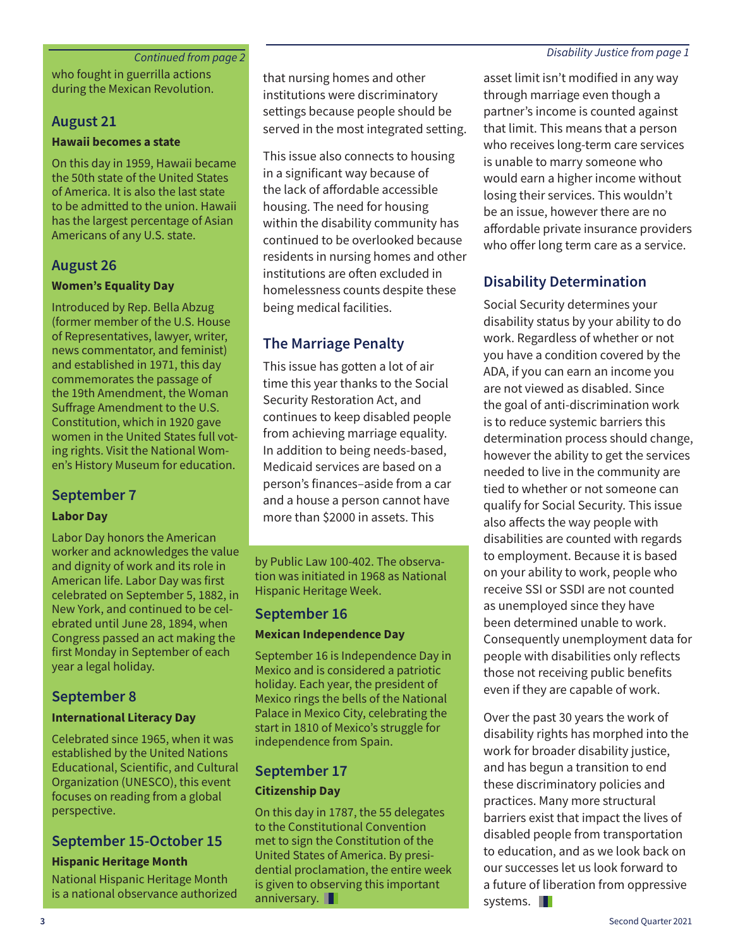#### *Continued from page 2 Disability Justice from page 1*

who fought in guerrilla actions during the Mexican Revolution.

#### **August 21**

#### **Hawaii becomes a state**

On this day in 1959, Hawaii became the 50th state of the United States of America. It is also the last state to be admitted to the union. Hawaii has the largest percentage of Asian Americans of any U.S. state.

#### **August 26**

#### **Women's Equality Day**

Introduced by Rep. Bella Abzug (former member of the U.S. House of Representatives, lawyer, writer, news commentator, and feminist) and established in 1971, this day commemorates the passage of the 19th Amendment, the Woman Suffrage Amendment to the U.S. Constitution, which in 1920 gave women in the United States full voting rights. Visit the National Women's History Museum for education.

#### **September 7**

#### **Labor Day**

Labor Day honors the American worker and acknowledges the value and dignity of work and its role in American life. Labor Day was first celebrated on September 5, 1882, in New York, and continued to be celebrated until June 28, 1894, when Congress passed an act making the first Monday in September of each year a legal holiday.

#### **September 8**

#### **International Literacy Day**

Celebrated since 1965, when it was established by the United Nations Educational, Scientific, and Cultural Organization (UNESCO), this event focuses on reading from a global perspective.

#### **September 15-October 15**

#### **Hispanic Heritage Month**

National Hispanic Heritage Month is a national observance authorized that nursing homes and other institutions were discriminatory settings because people should be served in the most integrated setting.

This issue also connects to housing in a significant way because of the lack of affordable accessible housing. The need for housing within the disability community has continued to be overlooked because residents in nursing homes and other institutions are often excluded in homelessness counts despite these being medical facilities.

#### **The Marriage Penalty**

This issue has gotten a lot of air time this year thanks to the Social Security Restoration Act, and continues to keep disabled people from achieving marriage equality. In addition to being needs-based, Medicaid services are based on a person's finances–aside from a car and a house a person cannot have more than \$2000 in assets. This

by Public Law 100-402. The observation was initiated in 1968 as National Hispanic Heritage Week.

#### **September 16**

#### **Mexican Independence Day**

September 16 is Independence Day in Mexico and is considered a patriotic holiday. Each year, the president of Mexico rings the bells of the National Palace in Mexico City, celebrating the start in 1810 of Mexico's struggle for independence from Spain.

#### **September 17 Citizenship Day**

On this day in 1787, the 55 delegates to the Constitutional Convention met to sign the Constitution of the United States of America. By presidential proclamation, the entire week is given to observing this important anniversary.

asset limit isn't modified in any way through marriage even though a partner's income is counted against that limit. This means that a person who receives long-term care services is unable to marry someone who would earn a higher income without losing their services. This wouldn't be an issue, however there are no affordable private insurance providers who offer long term care as a service.

#### **Disability Determination**

Social Security determines your disability status by your ability to do work. Regardless of whether or not you have a condition covered by the ADA, if you can earn an income you are not viewed as disabled. Since the goal of anti-discrimination work is to reduce systemic barriers this determination process should change, however the ability to get the services needed to live in the community are tied to whether or not someone can qualify for Social Security. This issue also affects the way people with disabilities are counted with regards to employment. Because it is based on your ability to work, people who receive SSI or SSDI are not counted as unemployed since they have been determined unable to work. Consequently unemployment data for people with disabilities only reflects those not receiving public benefits even if they are capable of work.

Over the past 30 years the work of disability rights has morphed into the work for broader disability justice, and has begun a transition to end these discriminatory policies and practices. Many more structural barriers exist that impact the lives of disabled people from transportation to education, and as we look back on our successes let us look forward to a future of liberation from oppressive systems. **II**